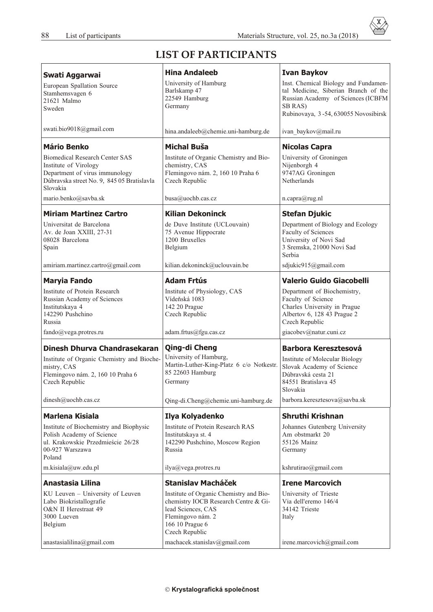X

## **LIST OF PARTICIPANTS**

| Swati Aggarwai                                                                                                                                             | <b>Hina Andaleeb</b>                                                                                                                                            | <b>Ivan Baykov</b>                                                                                                                                                    |
|------------------------------------------------------------------------------------------------------------------------------------------------------------|-----------------------------------------------------------------------------------------------------------------------------------------------------------------|-----------------------------------------------------------------------------------------------------------------------------------------------------------------------|
| European Spallation Source<br>Stamhemsvagen 6<br>21621 Malmo<br>Sweden                                                                                     | University of Hamburg<br>Barlskamp 47<br>22549 Hamburg<br>Germany                                                                                               | Inst. Chemical Biology and Fundamen-<br>tal Medicine, Siberian Branch of the<br>Russian Academy of Sciences (ICBFM<br>SB RAS)<br>Rubinovaya, 3-54, 630055 Novosibirsk |
| swati.bio9018@gmail.com                                                                                                                                    | hina.andaleeb@chemie.uni-hamburg.de                                                                                                                             | ivan_baykov@mail.ru                                                                                                                                                   |
| <b>Mário Benko</b>                                                                                                                                         | <b>Michal Buša</b>                                                                                                                                              | <b>Nicolas Capra</b>                                                                                                                                                  |
| <b>Biomedical Research Center SAS</b><br>Institute of Virology<br>Department of virus immunology<br>Dúbravska street No. 9, 845 05 Bratislavla<br>Slovakia | Institute of Organic Chemistry and Bio-<br>chemistry, CAS<br>Flemingovo nám. 2, 160 10 Praha 6<br>Czech Republic                                                | University of Groningen<br>Nijenborgh 4<br>9747AG Groningen<br>Netherlands                                                                                            |
| mario.benko@savba.sk                                                                                                                                       | busa@uochb.cas.cz                                                                                                                                               | n.capra@rug.nl                                                                                                                                                        |
| <b>Miriam Martinez Cartro</b>                                                                                                                              | <b>Kilian Dekoninck</b>                                                                                                                                         | <b>Stefan Djukic</b>                                                                                                                                                  |
| Universitat de Barcelona<br>Av. de Joan XXIII, 27-31<br>08028 Barcelona<br>Spain                                                                           | de Duve Institute (UCLouvain)<br>75 Avenue Hippocrate<br>1200 Bruxelles<br>Belgium                                                                              | Department of Biology and Ecology<br>Faculty of Sciences<br>University of Novi Sad<br>3 Sremska, 21000 Novi Sad<br>Serbia                                             |
| amiriam.martinez.cartro@gmail.com                                                                                                                          | kilian.dekoninck@uclouvain.be                                                                                                                                   | sdjukic915@gmail.com                                                                                                                                                  |
| <b>Maryia Fando</b>                                                                                                                                        | <b>Adam Frtús</b>                                                                                                                                               | <b>Valerio Guido Giacobelli</b>                                                                                                                                       |
| Institute of Protein Research<br>Russian Academy of Sciences<br>Institutskaya 4<br>142290 Pushchino<br>Russia<br>fando@vega.protres.ru                     | Institute of Physiology, CAS<br>Vídeňská 1083<br>142 20 Prague<br>Czech Republic<br>adam.frtus@fgu.cas.cz                                                       | Department of Biochemistry,<br>Faculty of Science<br>Charles University in Prague<br>Albertov 6, 128 43 Prague 2<br>Czech Republic<br>giacobev@natur.cuni.cz          |
| Dinesh Dhurva Chandrasekaran                                                                                                                               | Qing-di Cheng                                                                                                                                                   | <b>Barbora Keresztesová</b>                                                                                                                                           |
| Institute of Organic Chemistry and Bioche-<br>mistry, CAS<br>Flemingovo nám. 2, 160 10 Praha 6<br>Czech Republic                                           | University of Hamburg,<br>Martin-Luther-King-Platz 6 c/o Notkestr.<br>85 22603 Hamburg<br>Germany                                                               | Institute of Molecular Biology<br>Slovak Academy of Science<br>Dúbravská cesta 21<br>84551 Bratislava 45<br>Slovakia                                                  |
| dinesh@uochb.cas.cz                                                                                                                                        | Qing-di.Cheng@chemie.uni-hamburg.de                                                                                                                             | barbora.keresztesova@savba.sk                                                                                                                                         |
| <b>Marlena Kisiala</b>                                                                                                                                     | Ilya Kolyadenko                                                                                                                                                 | <b>Shruthi Krishnan</b>                                                                                                                                               |
| Institute of Biochemistry and Biophysic<br>Polish Academy of Science<br>ul. Krakowskie Przedmieście 26/28<br>00-927 Warszawa<br>Poland                     | Institute of Protein Research RAS<br>Institutskaya st. 4<br>142290 Pushchino, Moscow Region<br>Russia                                                           | Johannes Gutenberg University<br>Am obstmarkt 20<br>55126 Mainz<br>Germany                                                                                            |
| m.kisiala@uw.edu.pl                                                                                                                                        | ilya@vega.protres.ru                                                                                                                                            | kshrutirao@gmail.com                                                                                                                                                  |
| Anastasia Lilina                                                                                                                                           | <b>Stanislav Macháček</b>                                                                                                                                       | <b>Irene Marcovich</b>                                                                                                                                                |
| KU Leuven - University of Leuven<br>Labo Biokristallografie<br>O&N II Herestraat 49<br>3000 Lueven<br>Belgium                                              | Institute of Organic Chemistry and Bio-<br>chemistry IOCB Research Centre & Gi-<br>lead Sciences, CAS<br>Flemingovo nám. 2<br>166 10 Prague 6<br>Czech Republic | University of Trieste<br>Via dell'eremo 146/4<br>34142 Trieste<br>Italy                                                                                               |
| anastasialilina@gmail.com                                                                                                                                  | machacek.stanislav@gmail.com                                                                                                                                    | irene.marcovich@gmail.com                                                                                                                                             |